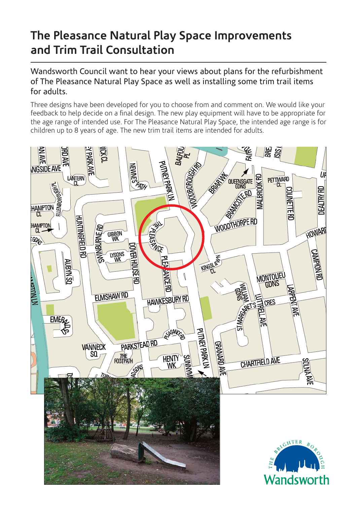## **The Pleasance Natural Play Space Improvements and Trim Trail Consultation**

1 Wandsworth Council want to hear your views about plans for the refurbishment of The Pleasance Natural Play Space as well as installing some trim trail items for adults.

Three designs have been developed for you to choose from and comment on. We would like your feedback to help decide on a final design. The new play equipment will have to be appropriate for the age range of intended use. For The Pleasance Natural Play Space, the intended age range is for children up to 8 years of age. The new trim trail items are intended for adults.